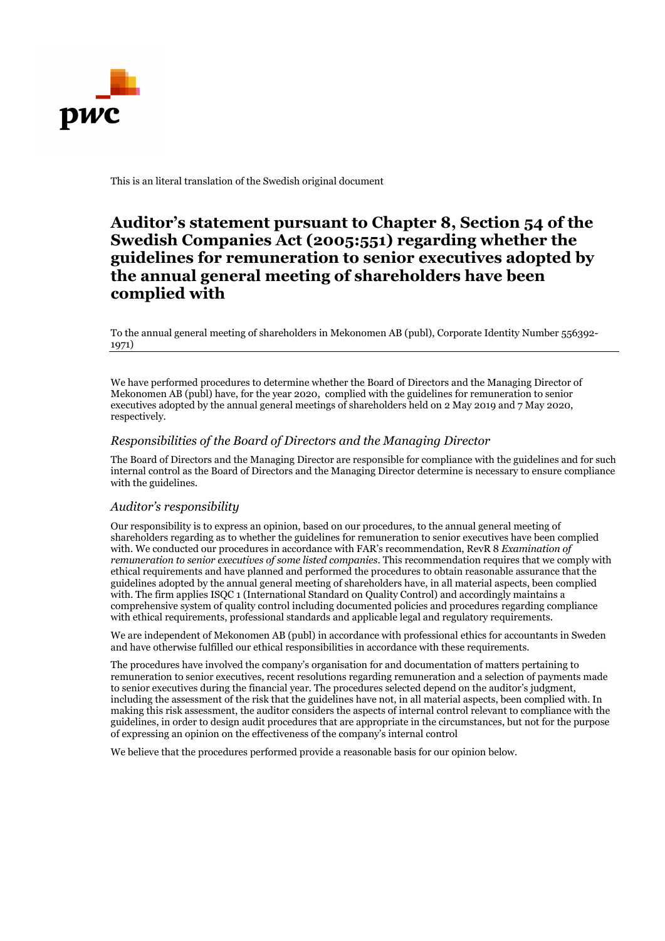

This is an literal translation of the Swedish original document

## **Auditor's statement pursuant to Chapter 8, Section 54 of the Swedish Companies Act (2005:551) regarding whether the guidelines for remuneration to senior executives adopted by the annual general meeting of shareholders have been complied with**

To the annual general meeting of shareholders in Mekonomen AB (publ), Corporate Identity Number 556392- 1971)

We have performed procedures to determine whether the Board of Directors and the Managing Director of Mekonomen AB (publ) have, for the year 2020, complied with the guidelines for remuneration to senior executives adopted by the annual general meetings of shareholders held on 2 May 2019 and 7 May 2020, respectively.

## *Responsibilities of the Board of Directors and the Managing Director*

The Board of Directors and the Managing Director are responsible for compliance with the guidelines and for such internal control as the Board of Directors and the Managing Director determine is necessary to ensure compliance with the guidelines.

## *Auditor's responsibility*

Our responsibility is to express an opinion, based on our procedures, to the annual general meeting of shareholders regarding as to whether the guidelines for remuneration to senior executives have been complied with. We conducted our procedures in accordance with FAR's recommendation, RevR 8 *Examination of remuneration to senior executives of some listed companies*. This recommendation requires that we comply with ethical requirements and have planned and performed the procedures to obtain reasonable assurance that the guidelines adopted by the annual general meeting of shareholders have, in all material aspects, been complied with. The firm applies ISQC 1 (International Standard on Quality Control) and accordingly maintains a comprehensive system of quality control including documented policies and procedures regarding compliance with ethical requirements, professional standards and applicable legal and regulatory requirements.

We are independent of Mekonomen AB (publ) in accordance with professional ethics for accountants in Sweden and have otherwise fulfilled our ethical responsibilities in accordance with these requirements.

The procedures have involved the company's organisation for and documentation of matters pertaining to remuneration to senior executives, recent resolutions regarding remuneration and a selection of payments made to senior executives during the financial year. The procedures selected depend on the auditor's judgment, including the assessment of the risk that the guidelines have not, in all material aspects, been complied with. In making this risk assessment, the auditor considers the aspects of internal control relevant to compliance with the guidelines, in order to design audit procedures that are appropriate in the circumstances, but not for the purpose of expressing an opinion on the effectiveness of the company's internal control

We believe that the procedures performed provide a reasonable basis for our opinion below.